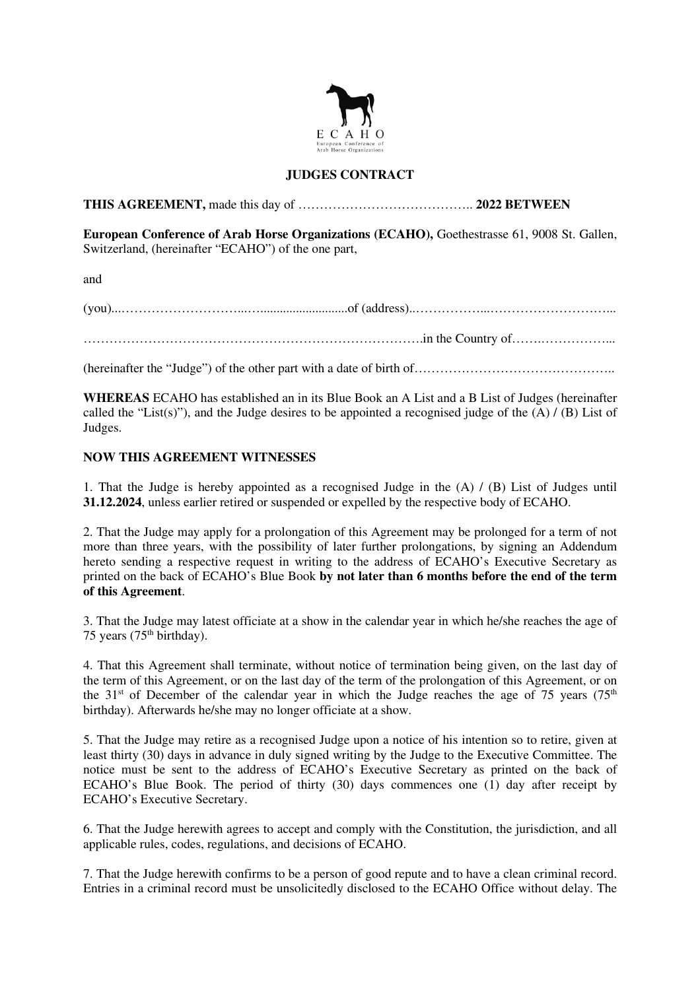

## **JUDGES CONTRACT**

**THIS AGREEMENT,** made this day of ………………………………….. **2022 BETWEEN** 

**European Conference of Arab Horse Organizations (ECAHO),** Goethestrasse 61, 9008 St. Gallen, Switzerland, (hereinafter "ECAHO") of the one part,

and

(you)...………………………...…...........................of (address)..……………...………………………... …………………………………………………………………….in the Country of…….……………...

(hereinafter the "Judge") of the other part with a date of birth of………………………………………..

**WHEREAS** ECAHO has established an in its Blue Book an A List and a B List of Judges (hereinafter called the "List(s)"), and the Judge desires to be appointed a recognised judge of the  $(A) / (B)$  List of Judges.

## **NOW THIS AGREEMENT WITNESSES**

1. That the Judge is hereby appointed as a recognised Judge in the (A) / (B) List of Judges until **31.12.2024**, unless earlier retired or suspended or expelled by the respective body of ECAHO.

2. That the Judge may apply for a prolongation of this Agreement may be prolonged for a term of not more than three years, with the possibility of later further prolongations, by signing an Addendum hereto sending a respective request in writing to the address of ECAHO's Executive Secretary as printed on the back of ECAHO's Blue Book **by not later than 6 months before the end of the term of this Agreement**.

3. That the Judge may latest officiate at a show in the calendar year in which he/she reaches the age of 75 years  $(75<sup>th</sup> birthday)$ .

4. That this Agreement shall terminate, without notice of termination being given, on the last day of the term of this Agreement, or on the last day of the term of the prolongation of this Agreement, or on the 31<sup>st</sup> of December of the calendar year in which the Judge reaches the age of 75 years (75<sup>th</sup>) birthday). Afterwards he/she may no longer officiate at a show.

5. That the Judge may retire as a recognised Judge upon a notice of his intention so to retire, given at least thirty (30) days in advance in duly signed writing by the Judge to the Executive Committee. The notice must be sent to the address of ECAHO's Executive Secretary as printed on the back of ECAHO's Blue Book. The period of thirty  $(30)$  days commences one  $(1)$  day after receipt by ECAHO's Executive Secretary.

6. That the Judge herewith agrees to accept and comply with the Constitution, the jurisdiction, and all applicable rules, codes, regulations, and decisions of ECAHO.

7. That the Judge herewith confirms to be a person of good repute and to have a clean criminal record. Entries in a criminal record must be unsolicitedly disclosed to the ECAHO Office without delay. The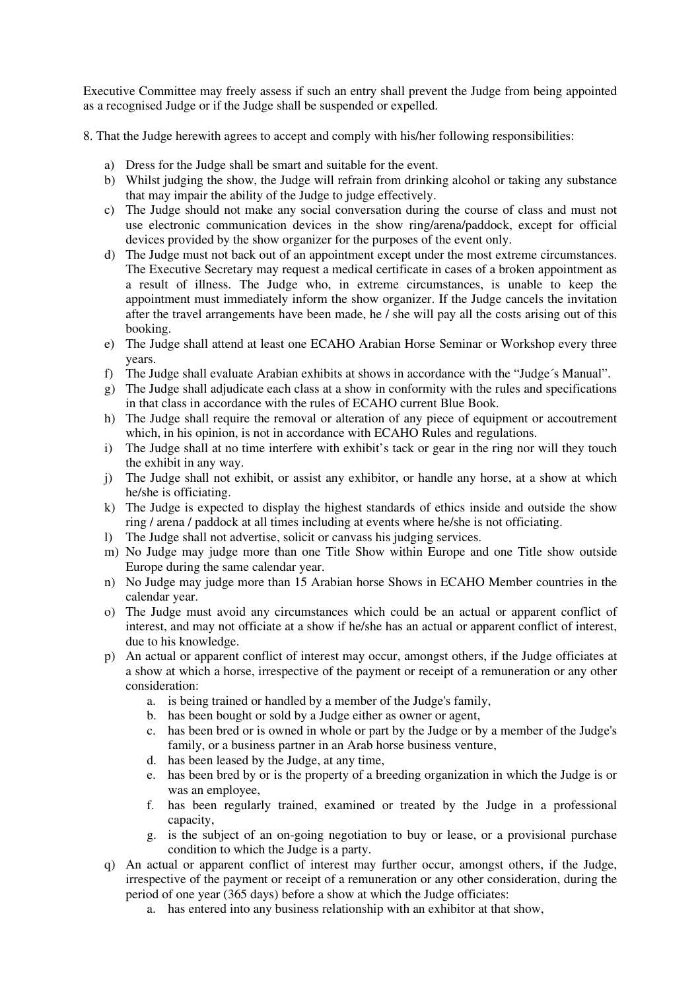Executive Committee may freely assess if such an entry shall prevent the Judge from being appointed as a recognised Judge or if the Judge shall be suspended or expelled.

8. That the Judge herewith agrees to accept and comply with his/her following responsibilities:

- a) Dress for the Judge shall be smart and suitable for the event.
- b) Whilst judging the show, the Judge will refrain from drinking alcohol or taking any substance that may impair the ability of the Judge to judge effectively.
- c) The Judge should not make any social conversation during the course of class and must not use electronic communication devices in the show ring/arena/paddock, except for official devices provided by the show organizer for the purposes of the event only.
- d) The Judge must not back out of an appointment except under the most extreme circumstances. The Executive Secretary may request a medical certificate in cases of a broken appointment as a result of illness. The Judge who, in extreme circumstances, is unable to keep the appointment must immediately inform the show organizer. If the Judge cancels the invitation after the travel arrangements have been made, he / she will pay all the costs arising out of this booking.
- e) The Judge shall attend at least one ECAHO Arabian Horse Seminar or Workshop every three years.
- f) The Judge shall evaluate Arabian exhibits at shows in accordance with the "Judge´s Manual".
- g) The Judge shall adjudicate each class at a show in conformity with the rules and specifications in that class in accordance with the rules of ECAHO current Blue Book.
- h) The Judge shall require the removal or alteration of any piece of equipment or accoutrement which, in his opinion, is not in accordance with ECAHO Rules and regulations.
- i) The Judge shall at no time interfere with exhibit's tack or gear in the ring nor will they touch the exhibit in any way.
- j) The Judge shall not exhibit, or assist any exhibitor, or handle any horse, at a show at which he/she is officiating.
- k) The Judge is expected to display the highest standards of ethics inside and outside the show ring / arena / paddock at all times including at events where he/she is not officiating.
- l) The Judge shall not advertise, solicit or canvass his judging services.
- m) No Judge may judge more than one Title Show within Europe and one Title show outside Europe during the same calendar year.
- n) No Judge may judge more than 15 Arabian horse Shows in ECAHO Member countries in the calendar year.
- o) The Judge must avoid any circumstances which could be an actual or apparent conflict of interest, and may not officiate at a show if he/she has an actual or apparent conflict of interest, due to his knowledge.
- p) An actual or apparent conflict of interest may occur, amongst others, if the Judge officiates at a show at which a horse, irrespective of the payment or receipt of a remuneration or any other consideration:
	- a. is being trained or handled by a member of the Judge's family,
	- b. has been bought or sold by a Judge either as owner or agent,
	- c. has been bred or is owned in whole or part by the Judge or by a member of the Judge's family, or a business partner in an Arab horse business venture,
	- d. has been leased by the Judge, at any time,
	- e. has been bred by or is the property of a breeding organization in which the Judge is or was an employee,
	- f. has been regularly trained, examined or treated by the Judge in a professional capacity,
	- g. is the subject of an on-going negotiation to buy or lease, or a provisional purchase condition to which the Judge is a party.
- q) An actual or apparent conflict of interest may further occur, amongst others, if the Judge, irrespective of the payment or receipt of a remuneration or any other consideration, during the period of one year (365 days) before a show at which the Judge officiates:
	- a. has entered into any business relationship with an exhibitor at that show,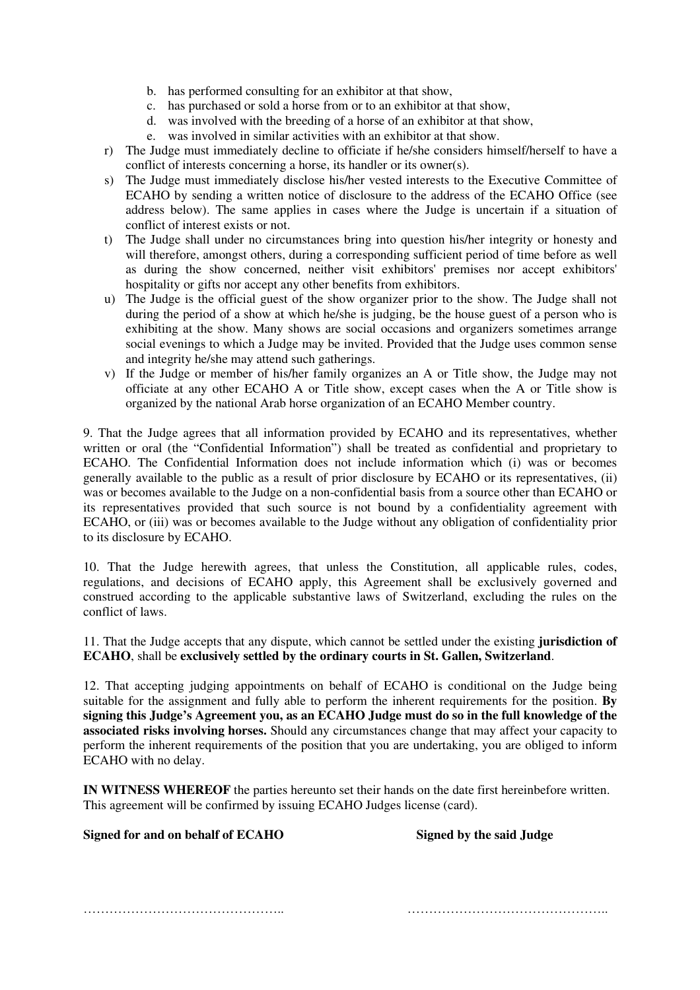- b. has performed consulting for an exhibitor at that show,
- c. has purchased or sold a horse from or to an exhibitor at that show,
- d. was involved with the breeding of a horse of an exhibitor at that show,
- e. was involved in similar activities with an exhibitor at that show.
- r) The Judge must immediately decline to officiate if he/she considers himself/herself to have a conflict of interests concerning a horse, its handler or its owner(s).
- s) The Judge must immediately disclose his/her vested interests to the Executive Committee of ECAHO by sending a written notice of disclosure to the address of the ECAHO Office (see address below). The same applies in cases where the Judge is uncertain if a situation of conflict of interest exists or not.
- t) The Judge shall under no circumstances bring into question his/her integrity or honesty and will therefore, amongst others, during a corresponding sufficient period of time before as well as during the show concerned, neither visit exhibitors' premises nor accept exhibitors' hospitality or gifts nor accept any other benefits from exhibitors.
- u) The Judge is the official guest of the show organizer prior to the show. The Judge shall not during the period of a show at which he/she is judging, be the house guest of a person who is exhibiting at the show. Many shows are social occasions and organizers sometimes arrange social evenings to which a Judge may be invited. Provided that the Judge uses common sense and integrity he/she may attend such gatherings.
- v) If the Judge or member of his/her family organizes an A or Title show, the Judge may not officiate at any other ECAHO A or Title show, except cases when the A or Title show is organized by the national Arab horse organization of an ECAHO Member country.

9. That the Judge agrees that all information provided by ECAHO and its representatives, whether written or oral (the "Confidential Information") shall be treated as confidential and proprietary to ECAHO. The Confidential Information does not include information which (i) was or becomes generally available to the public as a result of prior disclosure by ECAHO or its representatives, (ii) was or becomes available to the Judge on a non-confidential basis from a source other than ECAHO or its representatives provided that such source is not bound by a confidentiality agreement with ECAHO, or (iii) was or becomes available to the Judge without any obligation of confidentiality prior to its disclosure by ECAHO.

10. That the Judge herewith agrees, that unless the Constitution, all applicable rules, codes, regulations, and decisions of ECAHO apply, this Agreement shall be exclusively governed and construed according to the applicable substantive laws of Switzerland, excluding the rules on the conflict of laws.

11. That the Judge accepts that any dispute, which cannot be settled under the existing **jurisdiction of ECAHO**, shall be **exclusively settled by the ordinary courts in St. Gallen, Switzerland**.

12. That accepting judging appointments on behalf of ECAHO is conditional on the Judge being suitable for the assignment and fully able to perform the inherent requirements for the position. **By signing this Judge's Agreement you, as an ECAHO Judge must do so in the full knowledge of the associated risks involving horses.** Should any circumstances change that may affect your capacity to perform the inherent requirements of the position that you are undertaking, you are obliged to inform ECAHO with no delay.

**IN WITNESS WHEREOF** the parties hereunto set their hands on the date first hereinbefore written. This agreement will be confirmed by issuing ECAHO Judges license (card).

## **Signed for and on behalf of ECAHO Signed by the said Judge**

……………………………………….. ………………………………………..